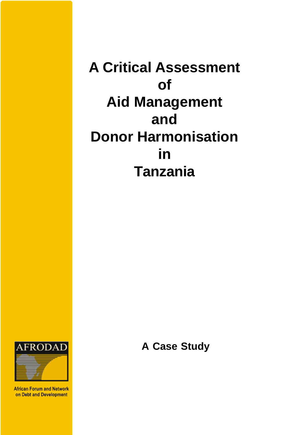**A Critical Assessment of Aid Management and Donor Harmonisation in Tanzania**



**African Forum and Network** on Debt and Development

**A Case Study**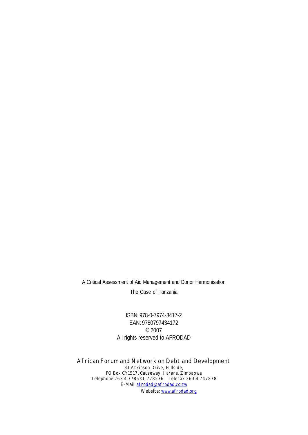A Critical Assessment of Aid Management and Donor Harmonisation The Case of Tanzania

> ISBN: 978-0-7974-3417-2 EAN: 9780797434172  $\degree$  2007 All rights reserved to AFRODAD

African Forum and Network on Debt and Development 31 Atkinson Drive, Hillside, PO Box CY1517, Causeway, Harare, Zimbabwe Telephone 263 4 778531, 778536 Telefax 263 4 747878 E-Mail afrodad@afrodad.co.zw Website: www.afrodad.org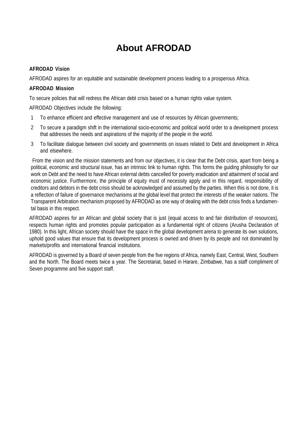### **About AFRODAD**

#### **AFRODAD Vision**

AFRODAD aspires for an equitable and sustainable development process leading to a prosperous Africa.

#### **AFRODAD Mission**

To secure policies that will redress the African debt crisis based on a human rights value system.

AFRODAD Objectives include the following:

- 1 To enhance efficient and effective management and use of resources by African governments;
- 2 To secure a paradigm shift in the international socio-economic and political world order to a development process that addresses the needs and aspirations of the majority of the people in the world.
- 3 To facilitate dialogue between civil society and governments on issues related to Debt and development in Africa and elsewhere.

 From the vision and the mission statements and from our objectives, it is clear that the Debt crisis, apart from being a political, economic and structural issue, has an intrinsic link to human rights. This forms the guiding philosophy for our work on Debt and the need to have African external debts cancelled for poverty eradication and attainment of social and economic justice. Furthermore, the principle of equity must of necessity apply and in this regard, responsibility of creditors and debtors in the debt crisis should be acknowledged and assumed by the parties. When this is not done, it is a reflection of failure of governance mechanisms at the global level that protect the interests of the weaker nations. The Transparent Arbitration mechanism proposed by AFRODAD as one way of dealing with the debt crisis finds a fundamental basis in this respect.

AFRODAD aspires for an African and global society that is just (equal access to and fair distribution of resources), respects human rights and promotes popular participation as a fundamental right of citizens (Arusha Declaration of 1980). In this light, African society should have the space in the global development arena to generate its own solutions, uphold good values that ensure that its development process is owned and driven by its people and not dominated by markets/profits and international financial institutions.

AFRODAD is governed by a Board of seven people from the five regions of Africa, namely East, Central, West, Southern and the North. The Board meets twice a year. The Secretariat, based in Harare, Zimbabwe, has a staff compliment of Seven programme and five support staff.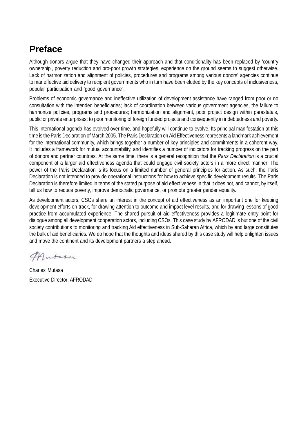### **Preface**

Although donors argue that they have changed their approach and that conditionality has been replaced by 'country ownership', poverty reduction and pro-poor growth strategies, experience on the ground seems to suggest otherwise. Lack of harmonization and alignment of policies, procedures and programs among various donors' agencies continue to mar effective aid delivery to recipient governments who in turn have been eluded by the key concepts of inclusiveness, popular participation and 'good governance".

Problems of economic governance and ineffective utilization of development assistance have ranged from poor or no consultation with the intended beneficiaries; lack of coordination between various government agencies, the failure to harmonize policies, programs and procedures; harmonization and alignment, poor project design within parastatals, public or private enterprises; to poor monitoring of foreign funded projects and consequently in indebtedness and poverty.

This international agenda has evolved over time, and hopefully will continue to evolve. Its principal manifestation at this time is the Paris Declaration of March 2005. The Paris Declaration on Aid Effectiveness represents a landmark achievement for the international community, which brings together a number of key principles and commitments in a coherent way. It includes a framework for mutual accountability, and identifies a number of indicators for tracking progress on the part of donors and partner countries. At the same time, there is a general recognition that the *Paris Declaration* is a crucial component of a larger aid effectiveness agenda that could engage civil society actors in a more direct manner. The power of the Paris Declaration is its focus on a limited number of general principles for action. As such, the Paris Declaration is not intended to provide operational instructions for how to achieve specific development results. The Paris Declaration is therefore limited in terms of the stated purpose of aid effectiveness in that it does not, and cannot, by itself, tell us how to reduce poverty, improve democratic governance, or promote greater gender equality.

As development actors, CSOs share an interest in the concept of aid effectiveness as an important one for keeping development efforts on-track, for drawing attention to outcome and impact level results, and for drawing lessons of good practice from accumulated experience. The shared pursuit of aid effectiveness provides a legitimate entry point for dialogue among all development cooperation actors, including CSOs. This case study by AFRODAD is but one of the civil society contributions to monitoring and tracking Aid effectiveness in Sub-Saharan Africa, which by and large constitutes the bulk of aid beneficiaries. We do hope that the thoughts and ideas shared by this case study will help enlighten issues and move the continent and its development partners a step ahead.

Autosa

Charles Mutasa Executive Director, AFRODAD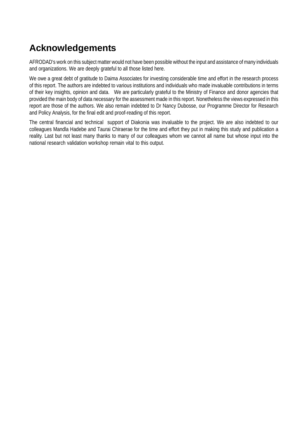### **Acknowledgements**

AFRODAD's work on this subject matter would not have been possible without the input and assistance of many individuals and organizations. We are deeply grateful to all those listed here.

We owe a great debt of gratitude to Daima Associates for investing considerable time and effort in the research process of this report. The authors are indebted to various institutions and individuals who made invaluable contributions in terms of their key insights, opinion and data. We are particularly grateful to the Ministry of Finance and donor agencies that provided the main body of data necessary for the assessment made in this report. Nonetheless the views expressed in this report are those of the authors. We also remain indebted to Dr Nancy Dubosse, our Programme Director for Research and Policy Analysis, for the final edit and proof-reading of this report.

The central financial and technical support of Diakonia was invaluable to the project. We are also indebted to our colleagues Mandla Hadebe and Taurai Chiraerae for the time and effort they put in making this study and publication a reality. Last but not least many thanks to many of our colleagues whom we cannot all name but whose input into the national research validation workshop remain vital to this output.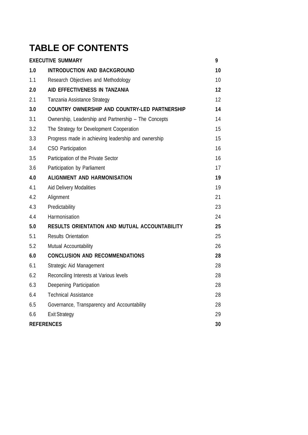# **TABLE OF CONTENTS**

| <b>EXECUTIVE SUMMARY</b> |                                                      | 9  |
|--------------------------|------------------------------------------------------|----|
| 1.0                      | <b>INTRODUCTION AND BACKGROUND</b>                   | 10 |
| 1.1                      | Research Objectives and Methodology                  | 10 |
| 2.0                      | AID EFFECTIVENESS IN TANZANIA                        | 12 |
| 2.1                      | Tanzania Assistance Strategy                         | 12 |
| 3.0                      | COUNTRY OWNERSHIP AND COUNTRY-LED PARTNERSHIP        | 14 |
| 3.1                      | Ownership, Leadership and Partnership - The Concepts | 14 |
| 3.2                      | The Strategy for Development Cooperation             | 15 |
| 3.3                      | Progress made in achieving leadership and ownership  | 15 |
| 3.4                      | CSO Participation                                    | 16 |
| 3.5                      | Participation of the Private Sector                  | 16 |
| 3.6                      | Participation by Parliament                          | 17 |
| 4.0                      | <b>ALIGNMENT AND HARMONISATION</b>                   | 19 |
| 4.1                      | Aid Delivery Modalities                              | 19 |
| 4.2                      | Alignment                                            | 21 |
| 4.3                      | Predictability                                       | 23 |
| 4.4                      | Harmonisation                                        | 24 |
| 5.0                      | RESULTS ORIENTATION AND MUTUAL ACCOUNTABILITY        | 25 |
| 5.1                      | <b>Results Orientation</b>                           | 25 |
| 5.2                      | Mutual Accountability                                | 26 |
| 6.0                      | <b>CONCLUSION AND RECOMMENDATIONS</b>                | 28 |
| 6.1                      | Strategic Aid Management                             | 28 |
| 6.2                      | Reconciling Interests at Various levels              | 28 |
| 6.3                      | Deepening Participation                              | 28 |
| 6.4                      | <b>Technical Assistance</b>                          | 28 |
| 6.5                      | Governance, Transparency and Accountability          | 28 |
| 6.6                      | <b>Exit Strategy</b>                                 | 29 |
|                          | <b>REFERENCES</b>                                    | 30 |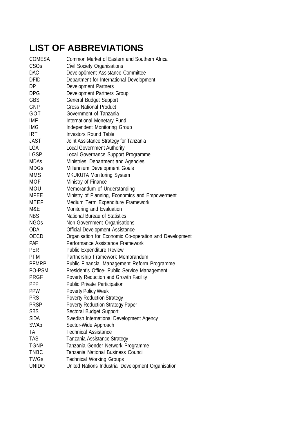# **LIST OF ABBREVIATIONS**

| COMESA           | Common Market of Eastern and Southern Africa           |
|------------------|--------------------------------------------------------|
| CSO <sub>S</sub> | Civil Society Organisations                            |
| <b>DAC</b>       | Develop0ment Assistance Committee                      |
| <b>DFID</b>      | Department for International Development               |
| DP               | Development Partners                                   |
| <b>DPG</b>       | Development Partners Group                             |
| GBS              | General Budget Support                                 |
| GNP              | <b>Gross National Product</b>                          |
| GOT              | Government of Tanzania                                 |
| IMF              | International Monetary Fund                            |
| IMG              | Independent Monitoring Group                           |
| IRT              | <b>Investors Round Table</b>                           |
| JAST             | Joint Assistance Strategy for Tanzania                 |
| LGA              | <b>Local Government Authority</b>                      |
| LGSP             | Local Governance Support Programme                     |
| <b>MDAs</b>      | Ministries, Department and Agencies                    |
| <b>MDGs</b>      | Millennium Development Goals                           |
| <b>MMS</b>       | <b>MKUKUTA Monitoring System</b>                       |
| MOF              | Ministry of Finance                                    |
| MOU              | Memorandum of Understanding                            |
| <b>MPEE</b>      | Ministry of Planning, Economics and Empowerment        |
| MTEF             | Medium Term Expenditure Framework                      |
| M&E              | Monitoring and Evaluation                              |
| <b>NBS</b>       | National Bureau of Statistics                          |
| NGOs             | Non-Government Organisations                           |
| <b>ODA</b>       | Official Development Assistance                        |
| OECD             | Organisation for Economic Co-operation and Development |
| PAF              | Performance Assistance Framework                       |
| PER              | Public Expenditure Review                              |
| PFM              | Partnership Framework Memorandum                       |
| PFMRP            | Public Financial Management Reform Programme           |
| PO-PSM           | President's Office- Public Service Management          |
| PRGF             | Poverty Reduction and Growth Facility                  |
| <b>PPP</b>       | Public Private Participation                           |
| <b>PPW</b>       | Poverty Policy Week                                    |
| PRS              | <b>Poverty Reduction Strategy</b>                      |
| <b>PRSP</b>      | Poverty Reduction Strategy Paper                       |
| <b>SBS</b>       | Sectoral Budget Support                                |
| <b>SIDA</b>      | Swedish International Development Agency               |
| <b>SWAp</b>      | Sector-Wide Approach                                   |
| ТA               | <b>Technical Assistance</b>                            |
| <b>TAS</b>       | Tanzania Assistance Strategy                           |
| <b>TGNP</b>      | Tanzania Gender Network Programme                      |
| <b>TNBC</b>      | Tanzania National Business Council                     |
| <b>TWGs</b>      | <b>Technical Working Groups</b>                        |
| <b>UNIDO</b>     | United Nations Industrial Development Organisation     |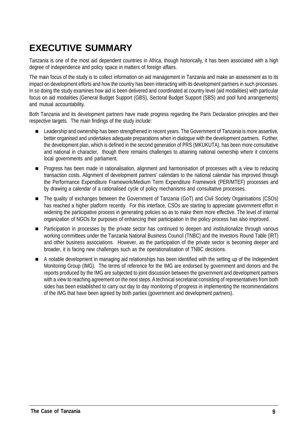## **EXECUTIVE SUMMARY**

Tanzania is one of the most aid dependent countries in Africa, though historically, it has been associated with a high degree of independence and policy space in matters of foreign affairs.

The main focus of the study is to collect information on aid management in Tanzania and make an assessment as to its impact on development efforts and how the country has been interacting with its development partners in such processes. In so doing the study examines how aid is been delivered and coordinated at country level (aid modalities) with particular focus on aid modalities (General Budget Support (GBS), Sectoral Budget Support (SBS) and pool fund arrangements) and mutual accountability.

Both Tanzania and its development partners have made progress regarding the Paris Declaration principles and their respective targets. The main findings of the study include:

- Leadership and ownership has been strengthened in recent years. The Government of Tanzania is more assertive, better organised and undertakes adequate preparations when in dialogue with the development partners. Further, the development plan, which is defined in the second generation of PRS (MKUKUTA), has been more consultative and national in character, though there remains challenges to attaining national ownership where it concerns local governments and parliament.
- n Progress has been made in rationalisation, alignment and harmonisation of processes with a view to reducing transaction costs. Alignment of development partners' calendars to the national calendar has improved through the Performance Expenditure Framework/Medium Term Expenditure Framework (PER/MTEF) processes and by drawing a calendar of a rationalised cycle of policy mechanisms and consultative processes.
- n The quality of exchanges between the Government of Tanzania (GoT) and Civil Society Organisations (CSOs) has reached a higher platform recently. For this interface, CSOs are starting to appreciate government effort in widening the participative process in generating policies so as to make them more effective. The level of internal organization of NGOs for purposes of enhancing their participation in the policy process has also improved.
- n Participation in processes by the private sector has continued to deepen and institutionalize through various working committees under the Tanzania National Business Council (TNBC) and the Investors Round Table (IRT) and other business associations. However, as the participation of the private sector is becoming deeper and broader, it is facing new challenges such as the operationalisation of TNBC decisions.
- n A notable development in managing aid relationships has been identified with the setting up of the Independent Monitoring Group (IMG). The terms of reference for the IMG are endorsed by government and donors and the reports produced by the IMG are subjected to joint discussion between the government and development partners with a view to reaching agreement on the next steps. A technical secretariat consisting of representatives from both sides has been established to carry out day to day monitoring of progress in implementing the recommendations of the IMG that have been agreed by both parties (government and development partners).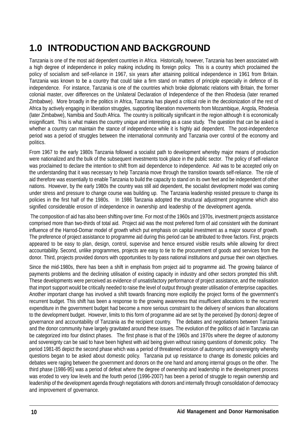# **1.0 INTRODUCTION AND BACKGROUND**

Tanzania is one of the most aid dependent countries in Africa. Historically, however, Tanzania has been associated with a high degree of independence in policy making including its foreign policy. This is a country which proclaimed the policy of socialism and self-reliance in 1967, six years after attaining political independence in 1961 from Britain. Tanzania was known to be a country that could take a firm stand on matters of principle especially in defence of its independence. For instance, Tanzania is one of the countries which broke diplomatic relations with Britain, the former colonial master, over differences on the Unilateral Declaration of Independence of the then Rhodesia (later renamed Zimbabwe). More broadly in the politics in Africa, Tanzania has played a critical role in the decolonization of the rest of Africa by actively engaging in liberation struggles, supporting liberation movements from Mozambique, Angola, Rhodesia (later Zimbabwe), Namibia and South Africa. The country is politically significant in the region although it is economically insignificant. This is what makes the country unique and interesting as a case study. The question that can be asked is whether a country can maintain the stance of independence while it is highly aid dependent. The post-independence period was a period of struggles between the international community and Tanzania over control of the economy and politics.

From 1967 to the early 1980s Tanzania followed a socialist path to development whereby major means of production were nationalized and the bulk of the subsequent investments took place in the public sector. The policy of self-reliance was proclaimed to declare the intention to shift from aid dependence to independence. Aid was to be accepted only on the understanding that it was necessary to help Tanzania move through the transition towards self-reliance. The role of aid therefore was essentially to enable Tanzania to build the capacity to stand on its own feet and be independent of other nations. However, by the early 1980s the country was still aid dependent, the socialist development model was coming under stress and pressure to change course was building up. The Tanzania leadership resisted pressure to change its policies in the first half of the 1980s. In 1986 Tanzania adopted the structural adjustment programme which also signified considerable erosion of independence in ownership and leadership of the development agenda.

 The composition of aid has also been shifting over time. For most of the 1960s and 1970s, investment projects assistance comprised more than two-thirds of total aid. Project aid was the most preferred form of aid consistent with the dominant influence of the Harrod-Domar model of growth which put emphasis on capital investment as a major source of growth. The preference of project assistance to programme aid during this period can be attributed to three factors. First, projects appeared to be easy to plan, design, control, supervise and hence ensured visible results while allowing for direct accountability. Second, unlike programmes, projects are easy to tie to the procurement of goods and services from the donor. Third, projects provided donors with opportunities to by-pass national institutions and pursue their own objectives.

Since the mid-1980s, there has been a shift in emphasis from project aid to programme aid. The growing balance of payments problems and the declining utilisation of existing capacity in industry and other sectors prompted this shift. These developments were perceived as evidence of unsatisfactory performance of project assistance, and the realisation that import support would be critically needed to raise the level of output through greater utilisation of enterprise capacities. Another important change has involved a shift towards financing more explicitly the project forms of the government's recurrent budget. This shift has been a response to the growing awareness that insufficient allocations to the recurrent expenditure in the government budget had become a more serious constraint to the delivery of services than allocations to the development budget. However, limits to this form of programme aid are set by the perceived (by donors) degree of governance and accountability of Tanzania as the recipient country. The debates and negotiations between Tanzania and the donor community have largely gravitated around these issues. The evolution of the politics of aid in Tanzania can be categorized into four distinct phases. The first phase is that of the 1960s and 1970s where the degree of autonomy and sovereignty can be said to have been highest with aid being given without raising questions of domestic policy. The period 1981-85 depict the second phase which was a period of threatened erosion of autonomy and sovereignty whereby questions began to be asked about domestic policy. Tanzania put up resistance to change its domestic policies and debates were raging between the government and donors on the one hand and among internal groups on the other. The third phase (1986-95) was a period of defeat where the degree of ownership and leadership in the development process was eroded to very low levels and the fourth period (1996-2007) has been a period of struggle to regain ownership and leadership of the development agenda through negotiations with donors and internally through consolidation of democracy and improvement of governance.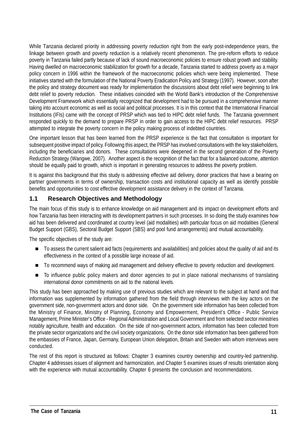While Tanzania declared priority in addressing poverty reduction right from the early post-independence years, the linkage between growth and poverty reduction is a relatively recent phenomenon. The pre-reform efforts to reduce poverty in Tanzania failed partly because of lack of sound macroeconomic policies to ensure robust growth and stability. Having dwelled on macroeconomic stabilization for growth for a decade, Tanzania started to address poverty as a major policy concern in 1996 within the framework of the macroeconomic policies which were being implemented. These initiatives started with the formulation of the National Poverty Eradication Policy and Strategy (1997). However, soon after the policy and strategy document was ready for implementation the discussions about debt relief were beginning to link debt relief to poverty reduction. These initiatives coincided with the World Bank's introduction of the Comprehensive Development Framework which essentially recognized that development had to be pursued in a comprehensive manner taking into account economic as well as social and political processes. It is in this context that the International Financial Institutions (IFIs) came with the concept of PRSP which was tied to HIPC debt relief funds. The Tanzania government responded quickly to the demand to prepare PRSP in order to gain access to the HIPC debt relief resources. PRSP attempted to integrate the poverty concern in the policy making process of indebted countries.

One important lesson that has been learned from the PRSP experience is the fact that consultation is important for subsequent positive impact of policy. Following this aspect, the PRSP has involved consultations with the key stakeholders, including the beneficiaries and donors. These consultations were deepened in the second generation of the Poverty Reduction Strategy (Wangwe, 2007). Another aspect is the recognition of the fact that for a balanced outcome, attention should be equally paid to growth, which is important in generating resources to address the poverty problem.

It is against this background that this study is addressing effective aid delivery, donor practices that have a bearing on partner governments in terms of ownership, transaction costs and institutional capacity as well as identify possible benefits and opportunities to cost effective development assistance delivery in the context of Tanzania.

### **1.1 Research Objectives and Methodology**

The main focus of this study is to enhance knowledge on aid management and its impact on development efforts and how Tanzania has been interacting with its development partners in such processes. In so doing the study examines how aid has been delivered and coordinated at country level (aid modalities) with particular focus on aid modalities (General Budget Support (GBS), Sectoral Budget Support (SBS) and pool fund arrangements) and mutual accountability.

The specific objectives of the study are:

- n To assess the current salient aid facts (requirements and availabilities) and policies about the quality of aid and its effectiveness in the context of a possible large increase of aid.
- To recommend ways of making aid management and delivery effective to poverty reduction and development.
- To influence public policy makers and donor agencies to put in place national mechanisms of translating international donor commitments on aid to the national levels.

This study has been approached by making use of previous studies which are relevant to the subject at hand and that information was supplemented by information gathered from the field through interviews with the key actors on the government side, non-government actors and donor side. On the government side information has been collected from the Ministry of Finance, Ministry of Planning, Economy and Empowerment, President's Office - Public Service Management, Prime Minister's Office - Regional Administration and Local Government and from selected sector ministries notably agriculture, health and education. On the side of non-government actors, information has been collected from the private sector organizations and the civil society organizations. On the donor side information has been gathered from the embassies of France, Japan, Germany, European Union delegation, Britain and Sweden with whom interviews were conducted.

The rest of this report is structured as follows: Chapter 3 examines country ownership and country-led partnership. Chapter 4 addresses issues of alignment and harmonization, and Chapter 5 examines issues of results orientation along with the experience with mutual accountability. Chapter 6 presents the conclusion and recommendations.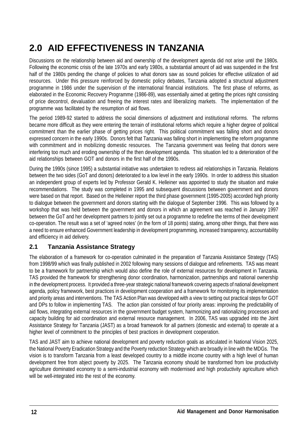# **2.0 AID EFFECTIVENESS IN TANZANIA**

Discussions on the relationship between aid and ownership of the development agenda did not arise until the 1980s. Following the economic crisis of the late 1970s and early 1980s, a substantial amount of aid was suspended in the first half of the 1980s pending the change of policies to what donors saw as sound policies for effective utilization of aid resources. Under this pressure reinforced by domestic policy debates, Tanzania adopted a structural adjustment programme in 1986 under the supervision of the international financial institutions. The first phase of reforms, as elaborated in the Economic Recovery Programme (1986-89), was essentially aimed at getting the prices right consisting of price decontrol, devaluation and freeing the interest rates and liberalizing markets. The implementation of the programme was facilitated by the resumption of aid flows.

The period 1989-92 started to address the social dimensions of adjustment and institutional reforms. The reforms became more difficult as they were entering the terrain of institutional reforms which require a higher degree of political commitment than the earlier phase of getting prices right. This political commitment was falling short and donors expressed concern in the early 1990s. Donors felt that Tanzania was falling short in implementing the reform programme with commitment and in mobilizing domestic resources. The Tanzania government was feeling that donors were interfering too much and eroding ownership of the then development agenda. This situation led to a deterioration of the aid relationships between GOT and donors in the first half of the 1990s.

During the 1990s (since 1995) a substantial initiative was undertaken to redress aid relationships in Tanzania. Relations between the two sides (GoT and donors) deteriorated to a low level in the early 1990s. In order to address this situation an independent group of experts led by Professor Gerald K. Helleiner was appointed to study the situation and make recommendations. The study was completed in 1995 and subsequent discussions between government and donors were based on that report. Based on the Helleiner report the third phase government (1995-2005) accorded high priority to dialogue between the government and donors starting with the dialogue of September 1996. This was followed by a workshop that was held between the government and donors in which an agreement was reached in January 1997 between the GoT and her development partners to jointly set out a programme to redefine the terms of their development co-operation. The result was a set of 'agreed notes' (in the form of 18 points) stating, among other things, that there was a need to ensure enhanced Government leadership in development programming, increased transparency, accountability and efficiency in aid delivery.

### **2.1 Tanzania Assistance Strategy**

The elaboration of a framework for co-operation culminated in the preparation of Tanzania Assistance Strategy (TAS) from 1998/99 which was finally published in 2002 following many sessions of dialogue and refinements. TAS was meant to be a framework for partnership which would also define the role of external resources for development in Tanzania. TAS provided the framework for strengthening donor coordination, harmonization, partnerships and national ownership in the development process. It provided a three-year strategic national framework covering aspects of national development agenda, policy framework, best practices in development cooperation and a framework for monitoring its implementation and priority areas and interventions. The TAS Action Plan was developed with a view to setting out practical steps for GOT and DPs to follow in implementing TAS. The action plan consisted of four priority areas: improving the predictability of aid flows, integrating external resources in the government budget system, harmonizing and rationalizing processes and capacity building for aid coordination and external resource management. In 2006, TAS was upgraded into the Joint Assistance Strategy for Tanzania (JAST) as a broad framework for all partners (domestic and external) to operate at a higher level of commitment to the principles of best practices in development cooperation.

TAS and JAST aim to achieve national development and poverty reduction goals as articulated in National Vision 2025, the National Poverty Eradication Strategy and the Poverty reduction Strategy which are broadly in line with the MDGs. The vision is to transform Tanzania from a least developed country to a middle income country with a high level of human development free from abject poverty by 2025. The Tanzania economy should be transformed from low productivity agriculture dominated economy to a semi-industrial economy with modernised and high productivity agriculture which will be well-integrated into the rest of the economy.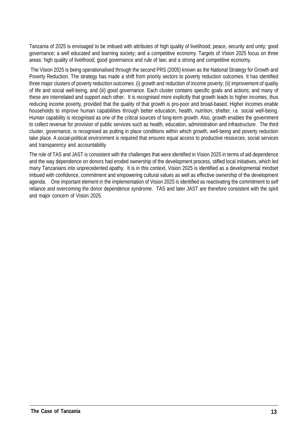Tanzania of 2025 is envisaged to be imbued with attributes of high quality of livelihood; peace, security and unity; good governance; a well educated and learning society; and a competitive economy. Targets of Vision 2025 focus on three areas: high quality of livelihood; good governance and rule of law; and a strong and competitive economy.

The Vision 2025 is being operationalised through the second PRS (2005) known as the National Strategy for Growth and Poverty Reduction. The strategy has made a shift from priority sectors to poverty reduction outcomes. It has identified three major clusters of poverty reduction outcomes: (i) growth and reduction of income poverty; (ii) improvement of quality of life and social well-being, and (iii) good governance. Each cluster contains specific goals and actions; and many of these are interrelated and support each other. It is recognised more explicitly that growth leads to higher incomes, thus reducing income poverty, provided that the quality of that growth is pro-poor and broad-based. Higher incomes enable households to improve human capabilities through better education, health, nutrition, shelter, i.e. social well-being. Human capability is recognised as one of the critical sources of long-term growth. Also, growth enables the government to collect revenue for provision of public services such as health, education, administration and infrastructure. The third cluster, governance, is recognised as putting in place conditions within which growth, well-being and poverty reduction take place. A social-political environment is required that ensures equal access to productive resources, social services and transparency and accountability

The role of TAS and JAST is consistent with the challenges that were identified in Vision 2025 in terms of aid dependence and the way dependence on donors had eroded ownership of the development process, stifled local initiatives, which led many Tanzanians into unprecedented apathy. It is in this context, Vision 2025 is identified as a developmental mindset imbued with confidence, commitment and empowering cultural values as well as effective ownership of the development agenda. One important element in the implementation of Vision 2025 is identified as reactivating the commitment to self reliance and overcoming the donor dependence syndrome. TAS and later JAST are therefore consistent with the spirit and major concern of Vision 2025.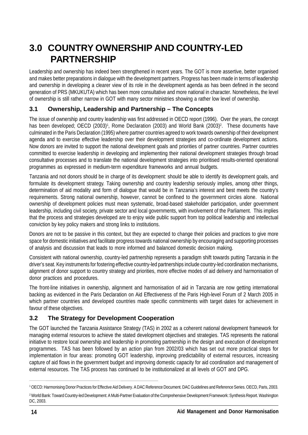### **3.0 COUNTRY OWNERSHIP AND COUNTRY-LED PARTNERSHIP**

Leadership and ownership has indeed been strengthened in recent years. The GOT is more assertive, better organised and makes better preparations in dialogue with the development partners. Progress has been made in terms of leadership and ownership in developing a clearer view of its role in the development agenda as has been defined in the second generation of PRS (MKUKUTA) which has been more consultative and more national in character. Nonetheless, the level of ownership is still rather narrow in GOT with many sector ministries showing a rather low level of ownership.

### **3.1 Ownership, Leadership and Partnership – The Concepts**

The issue of ownership and country leadership was first addressed in OECD report (1996). Over the years, the concept has been developed; OECD (2003)<sup>1</sup>, Rome Declaration (2003) and World Bank (2003)<sup>2</sup>. These documents have culminated in the Paris Declaration (1995) where partner countries agreed to work towards ownership of their development agenda and to exercise effective leadership over their development strategies and co-ordinate development actions. Now donors are invited to support the national development goals and priorities of partner countries. Partner countries committed to exercise leadership in developing and implementing their national development strategies through broad consultative processes and to translate the national development strategies into prioritised results-oriented operational programmes as expressed in medium-term expenditure frameworks and annual budgets.

Tanzania and not donors should be in charge of its development: should be able to identify its development goals, and formulate its development strategy. Taking ownership and country leadership seriously implies, among other things, determination of aid modality and form of dialogue that would be in Tanzania's interest and best meets the country's requirements. Strong national ownership, however, cannot be confined to the government circles alone. National ownership of development policies must mean systematic, broad-based stakeholder participation, under government leadership, including civil society, private sector and local governments, with involvement of the Parliament. This implies that the process and strategies developed are to enjoy wide public support from top political leadership and intellectual conviction by key policy makers and strong links to institutions.

Donors are not to be passive in this context, but they are expected to change their policies and practices to give more space for domestic initiatives and facilitate progress towards national ownership by encouraging and supporting processes of analysis and discussion that leads to more informed and balanced domestic decision making.

Consistent with national ownership, country-led partnership represents a paradigm shift towards putting Tanzania in the driver's seat. Key instruments for fostering effective country-led partnerships include country-led coordination mechanisms, alignment of donor support to country strategy and priorities, more effective modes of aid delivery and harmonisation of donor practices and procedures.

The front-line initiatives in ownership, alignment and harmonisation of aid in Tanzania are now getting international backing as evidenced in the Paris Declaration on Aid Effectiveness of the Paris High-level Forum of 2 March 2005 in which partner countries and developed countries made specific commitments with target dates for achievement in favour of these objectives.

### **3.2 The Strategy for Development Cooperation**

The GOT launched the Tanzania Assistance Strategy (TAS) in 2002 as a coherent national development framework for managing external resources to achieve the stated development objectives and strategies. TAS represents the national initiative to restore local ownership and leadership in promoting partnership in the design and execution of development programmes. TAS has been followed by an action plan from 2002/03 which has set out more practical steps for implementation in four areas: promoting GOT leadership, improving predictability of external resources, increasing capture of aid flows in the government budget and improving domestic capacity for aid coordination and management of external resources. The TAS process has continued to be institutionalized at all levels of GOT and DPG.

<sup>1</sup> OECD: Harmonising Donor Practices for Effective Aid Delivery. A DAC Reference Document. DAC Guidelines and Reference Series. OECD, Paris, 2003.

<sup>2</sup> World Bank: Toward Country-led Development: A Multi-Partner Evaluation of the Comprehensive Development Framework: Synthesis Report. Washington DC, 2003.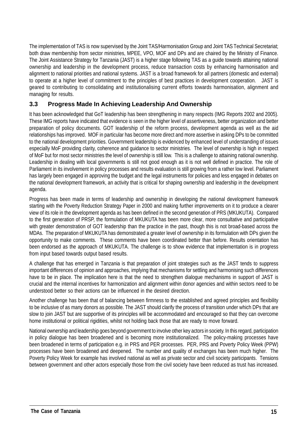The implementation of TAS is now supervised by the Joint TAS/Harmonisation Group and Joint TAS Technical Secretariat; both draw membership from sector ministries, MPEE, VPO, MOF and DPs and are chaired by the Ministry of Finance. The Joint Assistance Strategy for Tanzania (JAST) is a higher stage following TAS as a guide towards attaining national ownership and leadership in the development process, reduce transaction costs by enhancing harmonisation and alignment to national priorities and national systems. JAST is a broad framework for all partners (domestic and external) to operate at a higher level of commitment to the principles of best practices in development cooperation. JAST is geared to contributing to consolidating and institutionalising current efforts towards harmonisation, alignment and managing for results.

### **3.3 Progress Made In Achieving Leadership And Ownership**

It has been acknowledged that GoT leadership has been strengthening in many respects (IMG Reports 2002 and 2005). These IMG reports have indicated that evidence is seen in the higher level of assertiveness, better organization and better preparation of policy documents. GOT leadership of the reform process, development agenda as well as the aid relationships has improved. MOF in particular has become more direct and more assertive in asking DPs to be committed to the national development priorities. Government leadership is evidenced by enhanced level of understanding of issues especially MoF providing clarity, coherence and guidance to sector ministries. The level of ownership is high in respect of MoF but for most sector ministries the level of ownership is still low. This is a challenge to attaining national ownership. Leadership in dealing with local governments is still not good enough as it is not well defined in practice. The role of Parliament in its involvement in policy processes and results evaluation is still growing from a rather low level. Parliament has largely been engaged in approving the budget and the legal instruments for policies and less engaged in debates on the national development framework, an activity that is critical for shaping ownership and leadership in the development agenda.

Progress has been made in terms of leadership and ownership in developing the national development framework starting with the Poverty Reduction Strategy Paper in 2000 and making further improvements on it to produce a clearer view of its role in the development agenda as has been defined in the second generation of PRS (MKUKUTA). Compared to the first generation of PRSP, the formulation of MKUKUTA has been more clear, more consultative and participative with greater demonstration of GOT leadership than the practice in the past, though this is not broad-based across the MDAs. The preparation of MKUKUTA has demonstrated a greater level of ownership in its formulation with DPs given the opportunity to make comments. These comments have been coordinated better than before. Results orientation has been endorsed as the approach of MKUKUTA. The challenge is to show evidence that implementation is in progress from input based towards output based results.

A challenge that has emerged in Tanzania is that preparation of joint strategies such as the JAST tends to suppress important differences of opinion and approaches, implying that mechanisms for settling and harmonising such differences have to be in place. The implication here is that the need to strengthen dialogue mechanisms in support of JAST is crucial and the internal incentives for harmonization and alignment within donor agencies and within sectors need to be understood better so their actions can be influenced in the desired direction.

Another challenge has been that of balancing between firmness to the established and agreed principles and flexibility to be inclusive of as many donors as possible. The JAST should clarify the process of transition under which DPs that are slow to join JAST but are supportive of its principles will be accommodated and encouraged so that they can overcome home institutional or political rigidities, whilst not holding back those that are ready to move forward.

National ownership and leadership goes beyond government to involve other key actors in society. In this regard, participation in policy dialogue has been broadened and is becoming more institutionalized. The policy-making processes have been broadened in terms of participation e.g. in PRS and PER processes. PER, PRS and Poverty Policy Week (PPW) processes have been broadened and deepened. The number and quality of exchanges has been much higher. The Poverty Policy Week for example has involved national as well as private sector and civil society participants. Tensions between government and other actors especially those from the civil society have been reduced as trust has increased.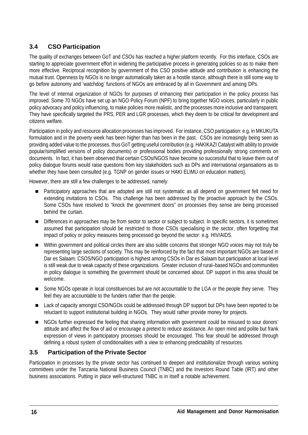### **3.4 CSO Participation**

The quality of exchanges between GoT and CSOs has reached a higher platform recently. For this interface, CSOs are starting to appreciate government effort in widening the participative process in generating policies so as to make them more effective. Reciprocal recognition by government of this CSO positive attitude and contribution is enhancing the mutual trust. Openness by NGOs is no longer automatically taken as a hostile stance, although there is still some way to go before autonomy and 'watchdog' functions of NGOs are embraced by all in Government and among DPs.

The level of internal organization of NGOs for purposes of enhancing their participation in the policy process has improved. Some 70 NGOs have set up an NGO Policy Forum (NPF) to bring together NGO voices, particularly in public policy advocacy and policy influencing, to make policies more realistic, and the processes more inclusive and transparent. They have specifically targeted the PRS, PER and LGR processes, which they deem to be critical for development and citizens welfare.

Participation in policy and resource allocation processes has improved. For instance, CSO participation: e.g. in MKUKUTA formulation and in the poverty week has been higher than has been in the past. CSOs are increasingly being seen as providing added value to the processes, thus GoT getting useful contribution (e.g. HAKIKAZI Catalyst with ability to provide popular/simplified versions of policy documents) or professional bodies providing professionally strong comments on documents. In fact, it has been observed that certain CSOs/NGOS have become so successful that to leave them out of policy dialogue forums would raise questions from key stakeholders such as DPs and international organisations as to whether they have been consulted (e.g. TGNP on gender issues or HAKI ELIMU on education matters).

However, there are still a few challenges to be addressed, namely:

- n Participatory approaches that are adopted are still not systematic as all depend on government felt need for extending invitations to CSOs. This challenge has been addressed by the proactive approach by the CSOs. Some CSOs have resolved to "knock the government doors" on processes they sense are being processed behind the curtain.
- Differences in approaches may be from sector to sector or subject to subject. In specific sectors, it is sometimes assumed that participation should be restricted to those CSOs specialising in the sector, often forgetting that impact of policy or policy measures being processed go beyond the sector: e.g. HIV/AIDS.
- n Within government and political circles there are also subtle concerns that stronger NGO voices may not truly be representing large sections of society. This may be reinforced by the fact that most important NGOs are based in Dar es Salaam. CSOS/NGO participation is highest among CSOs in Dar es Salaam but participation at local level is still weak due to weak capacity of these organizations. Greater inclusion of rural–based NGOs and communities in policy dialogue is something the government should be concerned about. DP support in this area should be welcome.
- Some NGOs operate in local constituencies but are not accountable to the LGA or the people they serve. They feel they are accountable to the funders rather than the people.
- Lack of capacity amongst CSO/NGOs could be addressed through DP support but DPs have been reported to be reluctant to support institutional building in NGOs. They would rather provide money for projects.
- n NGOs further expressed the feeling that sharing information with government could be misused to sour donors' attitude and affect the flow of aid or encourage a pretext to reduce assistance. An open mind and polite but frank expression of views in participatory processes should be encouraged. This fear should be addressed through defining a robust system of conditionalities with a view to enhancing predictability of resources.

### **3.5 Participation of the Private Sector**

Participation in processes by the private sector has continued to deepen and institutionalize through various working committees under the Tanzania National Business Council (TNBC) and the Investors Round Table (IRT) and other business associations. Putting in place well-structured TNBC is in itself a notable achievement.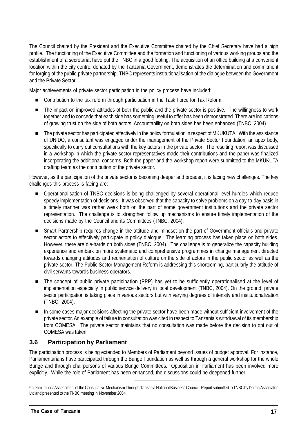The Council chaired by the President and the Executive Committee chaired by the Chief Secretary have had a high profile. The functioning of the Executive Committee and the formation and functioning of various working groups and the establishment of a secretariat have put the TNBC in a good footing. The acquisition of an office building at a convenient location within the city centre, donated by the Tanzania Government, demonstrates the determination and commitment for forging of the public-private partnership. TNBC represents institutionalisation of the dialogue between the Government and the Private Sector.

Major achievements of private sector participation in the policy process have included:

- n Contribution to the tax reform through participation in the Task Force for Tax Reform.
- n The impact on improved attitudes of both the public and the private sector is positive. The willingness to work together and to concede that each side has something useful to offer has been demonstrated. There are indications of growing trust on the side of both actors. Accountability on both sides has been enhanced (TNBC, 2004)<sup>3</sup>.
- n The private sector has participated effectively in the policy formulation in respect of MKUKUTA. With the assistance of UNIDO, a consultant was engaged under the management of the Private Sector Foundation, an apex body, specifically to carry out consultations with the key actors in the private sector. The resulting report was discussed in a workshop in which the private sector representatives made their contributions and the paper was finalized incorporating the additional concerns. Both the paper and the workshop report were submitted to the MKUKUTA drafting team as the contribution of the private sector.

However, as the participation of the private sector is becoming deeper and broader, it is facing new challenges. The key challenges this process is facing are:

- n Operationalisation of TNBC decisions is being challenged by several operational level hurdles which reduce speedy implementation of decisions. It was observed that the capacity to solve problems on a day-to-day basis in a timely manner was rather weak both on the part of some government institutions and the private sector representation. The challenge is to strengthen follow up mechanisms to ensure timely implementation of the decisions made by the Council and its Committees (TNBC, 2004).
- Smart Partnership requires change in the attitude and mindset on the part of Government officials and private sector actors to effectively participate in policy dialogue. The learning process has taken place on both sides. However, there are die-hards on both sides (TNBC, 2004). The challenge is to generalize the capacity building experience and embark on more systematic and comprehensive programmes in change management directed towards changing attitudes and reorientation of culture on the side of actors in the public sector as well as the private sector. The Public Sector Management Reform is addressing this shortcoming, particularly the attitude of civil servants towards business operators.
- n The concept of public private participation (PPP) has yet to be sufficiently operationalised at the level of implementation especially in public service delivery in local development (TNBC, 2004). On the ground, private sector participation is taking place in various sectors but with varying degrees of intensity and institutionalization (TNBC, 2004).
- In some cases major decisions affecting the private sector have been made without sufficient involvement of the private sector. An example of failure in consultation was cited in respect to Tanzania's withdrawal of its membership from COMESA. The private sector maintains that no consultation was made before the decision to opt out of COMESA was taken.

### **3.6 Participation by Parliament**

The participation process is being extended to Members of Parliament beyond issues of budget approval. For instance, Parliamentarians have participated through the Bunge Foundation as well as through a general workshop for the whole Bunge and through chairpersons of various Bunge Committees. Opposition in Parliament has been involved more explicitly. While the role of Parliament has been enhanced, the discussions could be deepened further.

<sup>3</sup> Interim Impact Assessment of the Consultative Mechanism Through Tanzania National Business Council.. Report submitted to TNBC by Daima Associates Ltd and presented to the TNBC meeting in November 2004.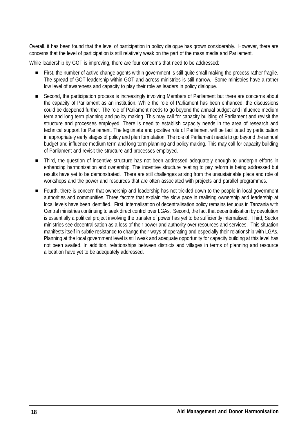Overall, it has been found that the level of participation in policy dialogue has grown considerably. However, there are concerns that the level of participation is still relatively weak on the part of the mass media and Parliament.

While leadership by GOT is improving, there are four concerns that need to be addressed:

- n First, the number of active change agents within government is still quite small making the process rather fragile. The spread of GOT leadership within GOT and across ministries is still narrow. Some ministries have a rather low level of awareness and capacity to play their role as leaders in policy dialogue.
- Second, the participation process is increasingly involving Members of Parliament but there are concerns about the capacity of Parliament as an institution. While the role of Parliament has been enhanced, the discussions could be deepened further. The role of Parliament needs to go beyond the annual budget and influence medium term and long term planning and policy making. This may call for capacity building of Parliament and revisit the structure and processes employed. There is need to establish capacity needs in the area of research and technical support for Parliament. The legitimate and positive role of Parliament will be facilitated by participation in appropriately early stages of policy and plan formulation. The role of Parliament needs to go beyond the annual budget and influence medium term and long term planning and policy making. This may call for capacity building of Parliament and revisit the structure and processes employed.
- n Third, the question of incentive structure has not been addressed adequately enough to underpin efforts in enhancing harmonization and ownership. The incentive structure relating to pay reform is being addressed but results have yet to be demonstrated. There are still challenges arising from the unsustainable place and role of workshops and the power and resources that are often associated with projects and parallel programmes.
- n Fourth, there is concern that ownership and leadership has not trickled down to the people in local government authorities and communities. Three factors that explain the slow pace in realising ownership and leadership at local levels have been identified. First, internalisation of decentralisation policy remains tenuous in Tanzania with Central ministries continuing to seek direct control over LGAs. Second, the fact that decentralisation by devolution is essentially a political project involving the transfer of power has yet to be sufficiently internalised. Third, Sector ministries see decentralisation as a loss of their power and authority over resources and services. This situation manifests itself in subtle resistance to change their ways of operating and especially their relationship with LGAs. Planning at the local government level is still weak and adequate opportunity for capacity building at this level has not been availed. In addition, relationships between districts and villages in terms of planning and resource allocation have yet to be adequately addressed.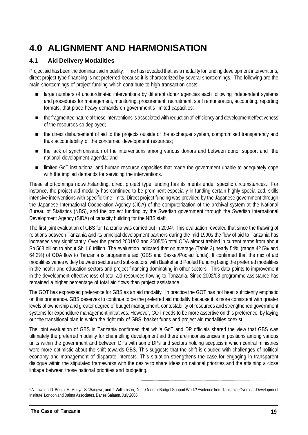# **4.0 ALIGNMENT AND HARMONISATION**

### **4.1 Aid Delivery Modalities**

Project aid has been the dominant aid modality. Time has revealed that, as a modality for funding development interventions, direct project-type financing is not preferred because it is characterized by several shortcomings. The following are the main shortcomings of project funding which contribute to high transaction costs:

- large numbers of uncoordinated interventions by different donor agencies each following independent systems and procedures for management, monitoring, procurement, recruitment, staff remuneration, accounting, reporting formats, that place heavy demands on government's limited capacities;
- $\blacksquare$  the fragmented nature of these interventions is associated with reduction of efficiency and development effectiveness of the resources so deployed;
- n the direct disbursement of aid to the projects outside of the exchequer system, compromised transparency and thus accountability of the concerned development resources;
- n the lack of synchronisation of the interventions among various donors and between donor support and the national development agenda; and
- n limited GoT institutional and human resource capacities that made the government unable to adequately cope with the implied demands for servicing the interventions.

These shortcomings notwithstanding, direct project type funding has its merits under specific circumstances. For instance, the project aid modality has continued to be prominent especially in funding certain highly specialized, skills intensive interventions with specific time limits. Direct project funding was provided by the Japanese government through the Japanese International Cooperation Agency (JICA) of the computerization of the archival system at the National Bureau of Statistics (NBS), and the project funding by the Swedish government through the Swedish International Development Agency (SIDA) of capacity building for the NBS staff.

The first joint evaluation of GBS for Tanzania was carried out in 2004<sup>4</sup>. This evaluation revealed that since the thawing of relations between Tanzania and its principal development partners during the mid 1990s the flow of aid to Tanzania has increased very significantly. Over the period 2001/02 and 2005/06 total ODA almost trebled in current terms from about Sh.563 billion to about Sh.1.6 trillion. The evaluation indicated that on average (Table 3) nearly 54% (range 42.5% and 64.2%) of ODA flow to Tanzania is programme aid (GBS and Basket/Pooled funds). It confirmed that the mix of aid modalities varies widely between sectors and sub-sectors, with Basket and Pooled Funding being the preferred modalities in the health and education sectors and project financing dominating in other sectors. This data points to improvement in the development effectiveness of total aid resources flowing to Tanzania. Since 2002/03 programme assistance has remained a higher percentage of total aid flows than project assistance.

The GOT has expressed preference for GBS as an aid modality. In practice the GOT has not been sufficiently emphatic on this preference. GBS deserves to continue to be the preferred aid modality because it is more consistent with greater levels of ownership and greater degree of budget management, contestability of resources and strengthened government systems for expenditure management initiatives. However, GOT needs to be more assertive on this preference, by laying out the transitional plan in which the right mix of GBS, basket funds and project aid modalities coexist.

The joint evaluation of GBS in Tanzania confirmed that while GoT and DP officials shared the view that GBS was ultimately the preferred modality for channelling development aid there are inconsistencies in positions among various units within the government and between DPs with some DPs and sectors holding scepticism which central ministries were more optimistic about the shift towards GBS. This suggests that the shift is clouded with challenges of political economy and management of disparate interests. This situation strengthens the case for engaging in transparent dialogue within the stipulated frameworks with the desire to share ideas on national priorities and the attaining a close linkage between those national priorities and budgeting.

<sup>4</sup> A. Lawson, D. Booth, M. Msuya, S. Wangwe, and T. Williamson, Does General Budget Support Work? Evidence from Tanzania, Overseas Development Institute, London and Daima Associates, Dar es Salaam, July 2005.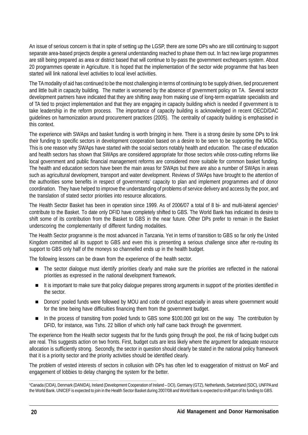An issue of serious concern is that in spite of setting up the LGSP, there are some DPs who are still continuing to support separate area-based projects despite a general understanding reached to phase them out. In fact new large programmes are still being prepared as area or district based that will continue to by-pass the government exchequers system. About 20 programmes operate in Agriculture. It is hoped that the implementation of the sector wide programme that has been started will link national level activities to local level activities.

The TA modality of aid has continued to be the most challenging in terms of continuing to be supply driven, tied procurement and little built in capacity building. The matter is worsened by the absence of government policy on TA. Several sector development partners have indicated that they are shifting away from making use of long-term expatriate specialists and of TA tied to project implementation and that they are engaging in capacity building which is needed if government is to take leadership in the reform process. The importance of capacity building is acknowledged in recent OECD/DAC guidelines on harmonization around procurement practices (2005). The centrality of capacity building is emphasised in this context.

The experience with SWAps and basket funding is worth bringing in here. There is a strong desire by some DPs to link their funding to specific sectors in development cooperation based on a desire to be seen to be supporting the MDGs. This is one reason why SWAps have started with the social sectors notably health and education. The case of education and health sectors has shown that SWAps are considered appropriate for those sectors while cross-cutting reforms like local government and public financial management reforms are considered more suitable for common basket funding. The health and education sectors have been the main areas for SWAps but there are also a number of SWAps in areas such as agricultural development, transport and water development. Reviews of SWAps have brought to the attention of the authorities some benefits in respect of governments' capacity to plan and implement programmes and of donor coordination. They have helped to improve the understanding of problems of service delivery and access by the poor, and the translation of stated sector priorities into resource allocations.

The Health Sector Basket has been in operation since 1999. As of 2006/07 a total of 8 bi- and multi-lateral agencies<sup>5</sup> contribute to the Basket. To date only DFID have completely shifted to GBS. The World Bank has indicated its desire to shift some of its contribution from the Basket to GBS in the near future. Other DPs prefer to remain in the Basket underscoring the complementarity of different funding modalities.

The Health Sector programme is the most advanced in Tanzania. Yet in terms of transition to GBS so far only the United Kingdom committed all its support to GBS and even this is presenting a serious challenge since after re-routing its support to GBS only half of the moneys so channelled ends up in the health budget.

The following lessons can be drawn from the experience of the health sector.

- n The sector dialogue must identify priorities clearly and make sure the priorities are reflected in the national priorities as expressed in the national development framework.
- n It is important to make sure that policy dialogue prepares strong arguments in support of the priorities identified in the sector.
- Donors' pooled funds were followed by MOU and code of conduct especially in areas where government would for the time being have difficulties financing them from the government budget.
- n In the process of transiting from pooled funds to GBS some \$100,000 got lost on the way. The contribution by DFID, for instance, was Tshs. 22 billion of which only half came back through the government.

The experience from the Health sector suggests that for the funds going through the pool, the risk of facing budget cuts are real. This suggests action on two fronts. First, budget cuts are less likely where the argument for adequate resource allocation is sufficiently strong. Secondly, the sector in question should clearly be stated in the national policy framework that it is a priority sector and the priority activities should be identified clearly.

The problem of vested interests of sectors in collusion with DPs has often led to exaggeration of mistrust on MoF and engagement of lobbies to delay changing the system for the better.

<sup>5</sup>Canada (CIDA), Denmark (DANIDA), Ireland (Development Cooperation of Ireland – DCI), Germany (GTZ), Netherlands, Switzerland (SDC), UNFPA and the World Bank. UNICEF is expected to join in the Health Sector Basket during 2007/08 and World Bank is expected to shift part of its funding to GBS.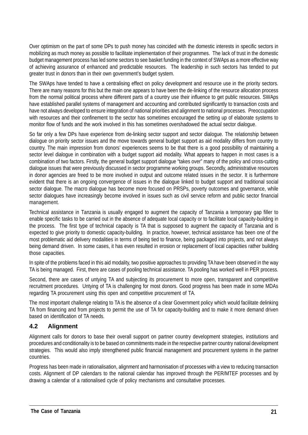Over optimism on the part of some DPs to push money has coincided with the domestic interests in specific sectors in mobilizing as much money as possible to facilitate implementation of their programmes. The lack of trust in the domestic budget management process has led some sectors to see basket funding in the context of SWAps as a more effective way of achieving assurance of enhanced and predictable resources. The leadership in such sectors has tended to put greater trust in donors than in their own government's budget system.

The SWAps have tended to have a centralising effect on policy development and resource use in the priority sectors. There are many reasons for this but the main one appears to have been the de-linking of the resource allocation process from the normal political process where different parts of a country use their influence to get public resources. SWAps have established parallel systems of management and accounting and contributed significantly to transaction costs and have not always developed to ensure integration of national priorities and alignment to national processes. Preoccupation with resources and their confinement to the sector has sometimes encouraged the setting up of elaborate systems to monitor flow of funds and the work involved in this has sometimes overshadowed the actual sector dialogue.

So far only a few DPs have experience from de-linking sector support and sector dialogue. The relationship between dialogue on priority sector issues and the move towards general budget support as aid modality differs from country to country. The main impression from donors' experiences seems to be that there is a good possibility of maintaining a sector level dialogue in combination with a budget support aid modality. What appears to happen in most cases is a combination of two factors. Firstly, the general budget support dialogue "takes over" many of the policy and cross-cutting dialogue issues that were previously discussed in sector programme working groups. Secondly, administrative resources in donor agencies are freed to be more involved in output and outcome related issues in the sector. It is furthermore evident that there is an ongoing convergence of issues in the dialogue linked to budget support and traditional social sector dialogue. The macro dialogue has become more focused on PRSPs, poverty outcomes and governance, while sector dialogues have increasingly become involved in issues such as civil service reform and public sector financial management.

Technical assistance in Tanzania is usually engaged to augment the capacity of Tanzania a temporary gap filler to enable specific tasks to be carried out in the absence of adequate local capacity or to facilitate local capacity-building in the process. The first type of technical capacity is TA that is supposed to augment the capacity of Tanzania and is expected to give priority to domestic capacity-building. In practice, however, technical assistance has been one of the most problematic aid delivery modalities in terms of being tied to finance, being packaged into projects, and not always being demand driven. In some cases, it has even resulted in erosion or replacement of local capacities rather building those capacities.

In spite of the problems faced in this aid modality, two positive approaches to providing TA have been observed in the way TA is being managed. First, there are cases of pooling technical assistance. TA pooling has worked well in PER process.

Second, there are cases of untying TA and subjecting its procurement to more open, transparent and competitive recruitment procedures. Untying of TA is challenging for most donors. Good progress has been made in some MDAs regarding TA procurement using this open and competitive procurement of TA.

The most important challenge relating to TA is the absence of a clear Government policy which would facilitate delinking TA from financing and from projects to permit the use of TA for capacity-building and to make it more demand driven based on identification of TA needs.

### **4.2 Alignment**

Alignment calls for donors to base their overall support on partner country development strategies, institutions and procedures and conditionality is to be based on commitments made in the respective partner country national development strategies. This would also imply strengthened public financial management and procurement systems in the partner countries.

Progress has been made in rationalisation, alignment and harmonisation of processes with a view to reducing transaction costs. Alignment of DP calendars to the national calendar has improved through the PER/MTEF processes and by drawing a calendar of a rationalised cycle of policy mechanisms and consultative processes.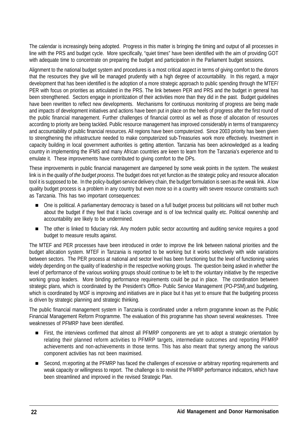The calendar is increasingly being adopted. Progress in this matter is bringing the timing and output of all processes in line with the PRS and budget cycle. More specifically, "quiet times" have been identified with the aim of providing GOT with adequate time to concentrate on preparing the budget and participation in the Parliament budget sessions.

Alignment to the national budget system and procedures is a most critical aspect in terms of giving comfort to the donors that the resources they give will be managed prudently with a high degree of accountability. In this regard, a major development that has been identified is the adoption of a more strategic approach to public spending through the MTEF/ PER with focus on priorities as articulated in the PRS. The link between PER and PRS and the budget in general has been strengthened. Sectors engage in prioritization of their activities more than they did in the past. Budget guidelines have been rewritten to reflect new developments. Mechanisms for continuous monitoring of progress are being made and impacts of development initiatives and actions have been put in place on the heels of progress after the first round of the public financial management. Further challenges of financial control as well as those of allocation of resources according to priority are being tackled. Public resource management has improved considerably in terms of transparency and accountability of public financial resources. All regions have been computerized. Since 2003 priority has been given to strengthening the infrastructure needed to make computerized sub-Treasuries work more effectively. Investment in capacity building in local government authorities is getting attention. Tanzania has been acknowledged as a leading country in implementing the IFMS and many African countries are keen to learn from the Tanzania's experience and to emulate it. These improvements have contributed to giving comfort to the DPs.

These improvements in public financial management are dampened by some weak points in the system. The weakest link is in the *quality of the budget process*. The budget does not yet function as the strategic policy and resource allocation tool it is supposed to be. In the policy-budget-service delivery chain, the budget formulation is seen as the weak link. A low quality budget process is a problem in any country but even more so in a country with severe resource constraints such as Tanzania. This has two important consequences:

- One is political. A parliamentary democracy is based on a full budget process but politicians will not bother much about the budget if they feel that it lacks coverage and is of low technical quality etc. Political ownership and accountability are likely to be undermined.
- The other is linked to fiduciary risk. Any modern public sector accounting and auditing service requires a good budget to measure results against.

The MTEF and PER processes have been introduced in order to improve the link between national priorities and the budget allocation system. MTEF in Tanzania is reported to be working but it works selectively with wide variations between sectors. The PER process at national and sector level has been functioning but the level of functioning varies widely depending on the quality of leadership in the respective working groups. The question being asked in whether the level of performance of the various working groups should continue to be left to the voluntary initiative by the respective working group leaders. More binding performance requirements could be put in place. The coordination between strategic plans, which is coordinated by the President's Office- Public Service Management (PO-PSM),and budgeting, which is coordinated by MOF is improving and initiatives are in place but it has yet to ensure that the budgeting process is driven by strategic planning and strategic thinking.

The public financial management system in Tanzania is coordinated under a reform programme known as the Public Financial Management Reform Programme. The evaluation of this programme has shown several weaknesses. Three weaknesses of PFMRP have been identified.

- First, the interviews confirmed that almost all PFMRP components are yet to adopt a strategic orientation by relating their planned reform activities to PFMRP targets, intermediate outcomes and reporting PFMRP achievements and non-achievements in those terms. This has also meant that synergy among the various component activities has not been maximised.
- n Second, rn:eporting at the PFMRP has faced the challenges of excessive or arbitrary reporting requirements and weak capacity or willingness to report. The challenge is to revisit the PFMRP performance indicators, which have been streamlined and improved in the revised Strategic Plan.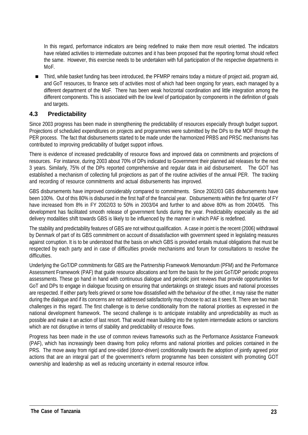In this regard, performance indicators are being redefined to make them more result oriented. The indicators have related activities to intermediate outcomes and it has been proposed that the reporting format should reflect the same. However, this exercise needs to be undertaken with full participation of the respective departments in MoF.

n Third, while basket funding has been introduced, the PFMRP remains today a mixture of project aid, program aid, and GoT resources, to finance sets of activities most of which had been ongoing for years, each managed by a different department of the MoF. There has been weak horizontal coordination and little integration among the different components. This is associated with the low level of participation by components in the definition of goals and targets.

### **4.3 Predictability**

Since 2003 progress has been made in strengthening the predictability of resources especially through budget support. Projections of scheduled expenditures on projects and programmes were submitted by the DPs to the MOF through the PER process. The fact that disbursements started to be made under the harmonized PRBS and PRSC mechanisms has contributed to improving predictability of budget support inflows.

There is evidence of increased predictability of resource flows and improved data on commitments and projections of resources. For instance, during 2003 about 70% of DPs indicated to Government their planned aid releases for the next 3 years. Similarly, 75% of the DPs reported comprehensive and regular data in aid disbursement. The GOT has established a mechanism of collecting full projections as part of the routine activities of the annual PER. The tracking and recording of resource commitments and actual disbursements has improved.

GBS disbursements have improved considerably compared to commitments. Since 2002/03 GBS disbursements have been 100%. Out of this 80% is disbursed in the first half of the financial year. Disbursements within the first quarter of FY have increased from 8% in FY 2002/03 to 50% in 2003/04 and further to and above 80% as from 2004/05. This development has facilitated smooth release of government funds during the year. Predictability especially as the aid delivery modalities shift towards GBS is likely to be influenced by the manner in which PAF is redefined.

The stability and predictability features of GBS are not without qualification. A case in point is the recent (2006) withdrawal by Denmark of part of its GBS commitment on account of dissatisfaction with government speed in legislating measures against corruption. It is to be understood that the basis on which GBS is provided entails mutual obligations that must be respected by each party and in case of difficulties provide mechanisms and forum for consultations to resolve the difficulties.

Underlying the GoT/DP commitments for GBS are the Partnership Framework Memorandum (PFM) and the Performance Assessment Framework (PAF) that guide resource allocations and form the basis for the joint GoT/DP periodic progress assessments. These go hand in hand with continuous dialogue and periodic joint reviews that provide opportunities for GoT and DPs to engage in dialogue focusing on ensuring that undertakings on strategic issues and national processes are respected. If either party feels grieved or some how dissatisfied with the behaviour of the other, it may raise the matter during the dialogue and if its concerns are not addressed satisfactorily may choose to act as it sees fit. There are two main challenges in this regard. The first challenge is to derive conditionality from the national priorities as expressed in the national development framework. The second challenge is to anticipate instability and unpredictability as much as possible and make it an action of last resort. That would mean building into the system intermediate actions or sanctions which are not disruptive in terms of stability and predictability of resource flows.

Progress has been made in the use of common reviews frameworks such as the Performance Assistance Framework (PAF), which has increasingly been drawing from policy reforms and national priorities and policies contained in the PRS. The move away from rigid and one-sided (donor-driven) conditionality towards the adoption of jointly agreed prior actions that are an integral part of the government's reform programme has been consistent with promoting GOT ownership and leadership as well as reducing uncertainty in external resource inflow.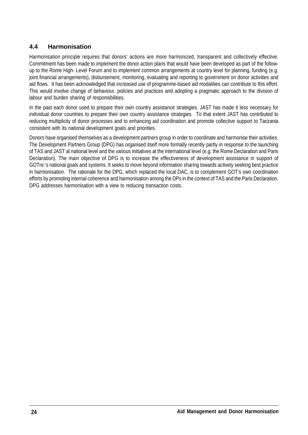### **4.4 Harmonisation**

Harmonisation principle requires that donors' actions are more harmonized, transparent and collectively effective. Commitment has been made to implement the donor action plans that would have been developed as part of the followup to the Rome High- Level Forum and to implement common arrangements at country level for planning, funding (e.g. joint financial arrangements), disbursement, monitoring, evaluating and reporting to government on donor activities and aid flows. It has been acknowledged that increased use of programme-based aid modalities can contribute to this effort. This would involve change of behaviour, policies and practices and adopting a pragmatic approach to the division of labour and burden sharing of responsibilities.

In the past each donor used to prepare their own country assistance strategies. JAST has made it less necessary for individual donor countries to prepare their own country assistance strategies. To that extent JAST has contributed to reducing multiplicity of donor processes and to enhancing aid coordination and promote collective support to Tanzania consistent with its national development goals and priorities.

Donors have organised themselves as a development partners group in order to coordinate and harmonise their activities. The Development Partners Group (DPG) has organised itself more formally recently partly in response to the launching of TAS and JAST at national level and the various initiatives at the international level (e.g. the Rome Declaration and Paris Declaration). The main objective of DPG is to increase the effectiveness of development assistance in support of GOTre:'s national goals and systems. It seeks to move beyond information sharing towards actively seeking best practice in harmonisation. The rationale for the DPG, which replaced the local DAC, is to complement GOT's own coordination efforts by promoting internal coherence and harmonisation among the DPs in the context of TAS and the Paris Declaration. DPG addresses harmonisation with a view to reducing transaction costs.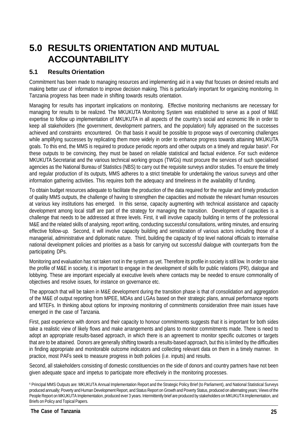### **5.0 RESULTS ORIENTATION AND MUTUAL ACCOUNTABILITY**

### **5.1 Results Orientation**

Commitment has been made to managing resources and implementing aid in a way that focuses on desired results and making better use of information to improve decision making. This is particularly important for organizing monitoring. In Tanzania progress has been made in shifting towards results orientation.

Managing for results has important implications on monitoring. Effective monitoring mechanisms are necessary for managing for results to be realized. The MKUKUTA Monitoring System was established to serve as a pool of M&E expertise to follow up implementation of MKUKUTA in all aspects of the country's social and economic life in order to keep all stakeholders (the government, development partners, and the population) fully appraised on the successes achieved and constraints encountered. On that basis it would be possible to propose ways of overcoming challenges while amplifying successes by replicating them more widely in order to enhance progress towards attaining MKUKUTA goals. To this end, the MMS is required to produce periodic reports and other outputs on a timely and regular basis<sup>6</sup>. For these outputs to be convincing, they must be based on reliable statistical and factual evidence. For such evidence MKUKUTA Secretariat and the various technical working groups (TWGs) must procure the services of such specialised agencies as the National Bureau of Statistics (NBS) to carry out the requisite surveys and/or studies. To ensure the timely and regular production of its outputs, MMS adheres to a strict timetable for undertaking the various surveys and other information gathering activities. This requires both the adequacy and timeliness in the availability of funding.

To obtain budget resources adequate to facilitate the production of the data required for the regular and timely production of quality MMS outputs, the challenge of having to strengthen the capacities and motivate the relevant human resources at various key institutions has emerged. In this sense, capacity augmenting with technical assistance and capacity development among local staff are part of the strategy for managing the transition. Development of capacities is a challenge that needs to be addressed at three levels. First, it will involve capacity building in terms of the professional M&E and the related skills of analysing, report writing, conducting successful consultations, writing minutes, and ensuring effective follow-up. Second, it will involve capacity building and sensitization of various actors including those of a managerial, administrative and diplomatic nature. Third, building the capacity of top level national officials to internalise national development policies and priorities as a basis for carrying out successful dialogue with counterparts from the participating DPs.

Monitoring and evaluation has not taken root in the system as yet. Therefore its profile in society is still low. In order to raise the profile of M&E in society, it is important to engage in the development of skills for public relations (PR), dialogue and lobbying. These are important especially at executive levels where contacts may be needed to ensure commonality of objectives and resolve issues, for instance on governance etc.

The approach that will be taken in M&E development during the transition phase is that of consolidation and aggregation of the M&E of output reporting from MPEE, MDAs and LGAs based on their strategic plans, annual performance reports and MTEFs. In thinking about options for improving monitoring of commitments consideration three main issues have emerged in the case of Tanzania.

First, past experience with donors and their capacity to honour commitments suggests that it is important for both sides take a realistic view of likely flows and make arrangements and plans to monitor commitments made. There is need to adopt an appropriate results-based approach, in which there is an agreement to monitor specific outcomes or targets that are to be attained. Donors are generally shifting towards a results-based approach, but this is limited by the difficulties in finding appropriate and monitorable outcome indicators and collecting relevant data on them in a timely manner. In practice, most PAFs seek to measure progress in both policies (i.e. inputs) and results.

Second, all stakeholders consisting of domestic constituencies on the side of donors and country partners have not been given adequate space and impetus to participate more effectively in the monitoring processes.

<sup>6</sup> Principal MMS Outputs are: MKUKUTA Annual Implementation Report and the Strategic Policy Brief (to Parliament), and National Statistical Surveys produced annually; Poverty and Human Development Report, and Status Report on Growth and Poverty Status, produced on alternating years; Views of the People Report on MKUKUTA Implementation, produced ever 3 years. Intermittently brief are produced by stakeholders on MKUKUTA Implementation, and Briefs on Policy and Topical Papers.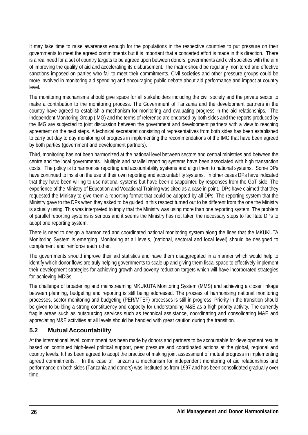It may take time to raise awareness enough for the populations in the respective countries to put pressure on their governments to meet the agreed commitments but it is important that a concerted effort is made in this direction. There is a real need for a set of country targets to be agreed upon between donors, governments and civil societies with the aim of improving the quality of aid and accelerating its disbursement. The matrix should be regularly monitored and effective sanctions imposed on parties who fail to meet their commitments. Civil societies and other pressure groups could be more involved in monitoring aid spending and encouraging public debate about aid performance and impact at country level.

The monitoring mechanisms should give space for all stakeholders including the civil society and the private sector to make a contribution to the monitoring process. The Government of Tanzania and the development partners in the country have agreed to establish a mechanism for monitoring and evaluating progress in the aid relationships. The Independent Monitoring Group (IMG) and the terms of reference are endorsed by both sides and the reports produced by the IMG are subjected to joint discussion between the government and development partners with a view to reaching agreement on the next steps. A technical secretariat consisting of representatives from both sides has been established to carry out day to day monitoring of progress in implementing the recommendations of the IMG that have been agreed by both parties (government and development partners).

Third, monitoring has not been harmonized at the national level between sectors and central ministries and between the centre and the local governments. Multiple and parallel reporting systems have been associated with high transaction costs. The policy is to harmonise reporting and accountability systems and align them to national systems. Some DPs have continued to insist on the use of their own reporting and accountability systems. In other cases DPs have indicated that they have been willing to use national systems but have been disappointed by responses from the GoT side. The experience of the Ministry of Education and Vocational Training was cited as a case in point. DPs have claimed that they requested the Ministry to give them a reporting format that could be adopted by all DPs. The reporting system that the Ministry gave to the DPs when they asked to be guided in this respect turned out to be different from the one the Ministry is actually using. This was interpreted to imply that the Ministry was using more than one reporting system. The problem of parallel reporting systems is serious and it seems the Ministry has not taken the necessary steps to facilitate DPs to adopt one reporting system.

There is need to design a harmonized and coordinated national monitoring system along the lines that the MKUKUTA Monitoring System is emerging. Monitoring at all levels, (national, sectoral and local level) should be designed to complement and reinforce each other.

The governments should improve their aid statistics and have them disaggregated in a manner which would help to identify which donor flows are truly helping governments to scale up and giving them fiscal space to effectively implement their development strategies for achieving growth and poverty reduction targets which will have incorporated strategies for achieving MDGs.

The challenge of broadening and mainstreaming MKUKUTA Monitoring System (MMS) and achieving a closer linkage between planning, budgeting and reporting is still being addressed. The process of harmonising national monitoring processes, sector monitoring and budgeting (PER/MTEF) processes is still in progress. Priority in the transition should be given to building a strong constituency and capacity for understanding M&E as a high priority activity. The currently fragile areas such as outsourcing services such as technical assistance, coordinating and consolidating M&E and appreciating M&E activities at all levels should be handled with great caution during the transition.

### **5.2 Mutual Accountability**

At the international level, commitment has been made by donors and partners to be accountable for development results based on continued high-level political support, peer pressure and coordinated actions at the global, regional and country levels. It has been agreed to adopt the practice of making joint assessment of mutual progress in implementing agreed commitments. In the case of Tanzania a mechanism for independent monitoring of aid relationships and performance on both sides (Tanzania and donors) was instituted as from 1997 and has been consolidated gradually over time.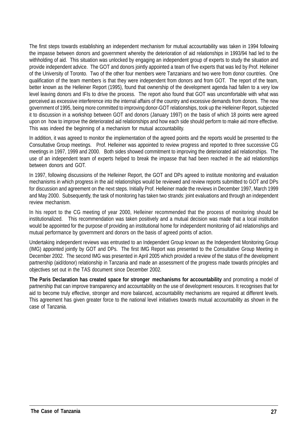The first steps towards establishing an independent mechanism for mutual accountability was taken in 1994 following the impasse between donors and government whereby the deterioration of aid relationships in 1993/94 had led to the withholding of aid. This situation was unlocked by engaging an independent group of experts to study the situation and provide independent advice. The GOT and donors jointly appointed a team of five experts that was led by Prof. Helleiner of the University of Toronto. Two of the other four members were Tanzanians and two were from donor countries. One qualification of the team members is that they were independent from donors and from GOT. The report of the team, better known as the Helleiner Report (1995), found that ownership of the development agenda had fallen to a very low level leaving donors and IFIs to drive the process. The report also found that GOT was uncomfortable with what was perceived as excessive interference into the internal affairs of the country and excessive demands from donors. The new government of 1995, being more committed to improving donor-GOT relationships, took up the Helleiner Report, subjected it to discussion in a workshop between GOT and donors (January 1997) on the basis of which 18 points were agreed upon on how to improve the deteriorated aid relationships and how each side should perform to make aid more effective. This was indeed the beginning of a mechanism for mutual accountability.

In addition, it was agreed to monitor the implementation of the agreed points and the reports would be presented to the Consultative Group meetings. Prof. Helleiner was appointed to review progress and reported to three successive CG meetings in 1997, 1999 and 2000. Both sides showed commitment to improving the deteriorated aid relationships. The use of an independent team of experts helped to break the impasse that had been reached in the aid relationships between donors and GOT.

In 1997, following discussions of the Helleiner Report, the GOT and DPs agreed to institute monitoring and evaluation mechanisms in which progress in the aid relationships would be reviewed and review reports submitted to GOT and DPs for discussion and agreement on the next steps. Initially Prof. Helleiner made the reviews in December 1997, March 1999 and May 2000. Subsequently, the task of monitoring has taken two strands: joint evaluations and through an independent review mechanism.

In his report to the CG meeting of year 2000, Helleiner recommended that the process of monitoring should be institutionalized. This recommendation was taken positively and a mutual decision was made that a local institution would be appointed for the purpose of providing an institutional home for independent monitoring of aid relationships and mutual performance by government and donors on the basis of agreed points of action.

Undertaking independent reviews was entrusted to an Independent Group known as the Independent Monitoring Group (IMG) appointed jointly by GOT and DPs. The first IMG Report was presented to the Consultative Group Meeting in December 2002. The second IMG was presented in April 2005 which provided a review of the status of the development partnership (aid/donor) relationship in Tanzania and made an assessment of the progress made towards principles and objectives set out in the TAS document since December 2002.

**The Paris Declaration has created space for stronger mechanisms for accountability** and promoting a model of partnership that can improve transparency and accountability on the use of development resources. It recognises that for aid to become truly effective, stronger and more balanced, accountability mechanisms are required at different levels. This agreement has given greater force to the national level initiatives towards mutual accountability as shown in the case of Tanzania.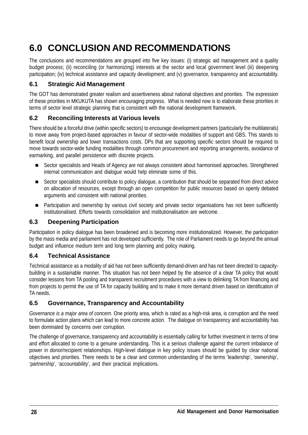# **6.0 CONCLUSION AND RECOMMENDATIONS**

The conclusions and recommendations are grouped into five key issues: (i) strategic aid management and a quality budget process; (ii) reconciling (or harmonizing) interests at the sector and local government level (iii) deepening participation; (iv) technical assistance and capacity development; and (v) governance, transparency and accountability.

### **6.1 Strategic Aid Management**

The GOT has demonstrated greater realism and assertiveness about national objectives and priorities. The expression of these priorities in MKUKUTA has shown encouraging progress. What is needed now is to elaborate these priorities in terms of sector level strategic planning that is consistent with the national development framework.

#### **6.2 Reconciling Interests at Various levels**

There should be a forceful drive (within specific sectors) to encourage development partners (particularly the multilaterals) to move away from project-based approaches in favour of sector-wide modalities of support and GBS. This stands to benefit local ownership and lower transactions costs. DPs that are supporting specific sectors should be required to move towards sector-wide funding modalities through common procurement and reporting arrangements, avoidance of earmarking, and parallel persistence with discrete projects.

- n Sector specialists and Heads of Agency are not always consistent about harmonised approaches. Strengthened internal communication and dialogue would help eliminate some of this.
- Sector specialists should contribute to policy dialogue, a contribution that should be separated from direct advice on allocation of resources, except through an open competition for public resources based on openly debated arguments and consistent with national priorities.
- n Participation and ownership by various civil society and private sector organisations has not been sufficiently institutionalised. Efforts towards consolidation and institutionalisation are welcome.

### **6.3 Deepening Participation**

Participation in policy dialogue has been broadened and is becoming more institutionalized. However, the participation by the mass media and parliament has not developed sufficiently. The role of Parliament needs to go beyond the annual budget and influence medium term and long term planning and policy making.

#### **6.4 Technical Assistance**

Technical assistance as a modality of aid has not been sufficiently demand-driven and has not been directed to capacitybuilding in a sustainable manner. This situation has not been helped by the absence of a clear TA policy that would consider lessons from TA pooling and transparent recruitment procedures with a view to delinking TA from financing and from projects to permit the use of TA for capacity building and to make it more demand driven based on identification of TA needs.

### **6.5 Governance, Transparency and Accountability**

*Governance is a major area of concern*. One priority area, which is rated as a high-risk area, is corruption and the need to formulate action plans which can lead to more concrete action. The dialogue on transparency and accountability has been dominated by concerns over corruption.

The challenge of governance, transparency and accountability is essentially calling for further investment in terms of time and effort allocated to come to a genuine understanding. This is a serious challenge against the current imbalance of power in donor/recipient relationships. High-level dialogue in key policy issues should be guided by clear national objectives and priorities. There needs to be a clear and common understanding of the terms 'leadership', 'ownership', 'partnership', 'accountability', and their practical implications.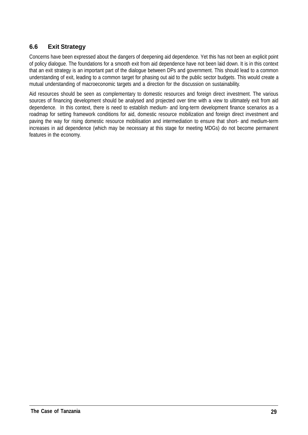### **6.6 Exit Strategy**

Concerns have been expressed about the dangers of deepening aid dependence. Yet this has not been an explicit point of policy dialogue. The foundations for a smooth exit from aid dependence have not been laid down. It is in this context that an exit strategy is an important part of the dialogue between DPs and government. This should lead to a common understanding of exit, leading to a common target for phasing out aid to the public sector budgets. This would create a mutual understanding of macroeconomic targets and a direction for the discussion on sustainability.

Aid resources should be seen as complementary to domestic resources and foreign direct investment. The various sources of financing development should be analysed and projected over time with a view to ultimately exit from aid dependence. In this context, there is need to establish medium- and long-term development finance scenarios as a roadmap for setting framework conditions for aid, domestic resource mobilization and foreign direct investment and paving the way for rising domestic resource mobilisation and intermediation to ensure that short- and medium-term increases in aid dependence (which may be necessary at this stage for meeting MDGs) do not become permanent features in the economy.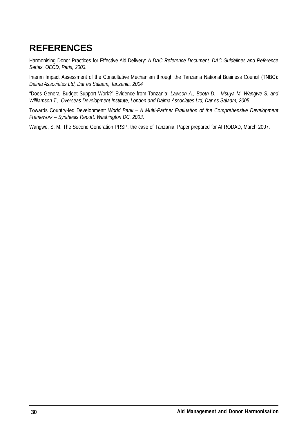### **REFERENCES**

Harmonising Donor Practices for Effective Aid Delivery: *A DAC Reference Document. DAC Guidelines and Reference Series. OECD, Paris, 2003.*

Interim Impact Assessment of the Consultative Mechanism through the Tanzania National Business Council (TNBC): *Daima Associates Ltd, Dar es Salaam, Tanzania, 2004*

"Does General Budget Support Work?" Evidence from Tanzania: *Lawson A., Booth D., Msuya M, Wangwe S. and Williamson T., Overseas Development Institute, London and Daima Associates Ltd, Dar es Salaam, 2005.*

Towards Country-led Development: *World Bank – A Multi-Partner Evaluation of the Comprehensive Development Framework – Synthesis Report. Washington DC, 2003*.

Wangwe, S. M. The Second Generation PRSP: the case of Tanzania. Paper prepared for AFRODAD, March 2007.